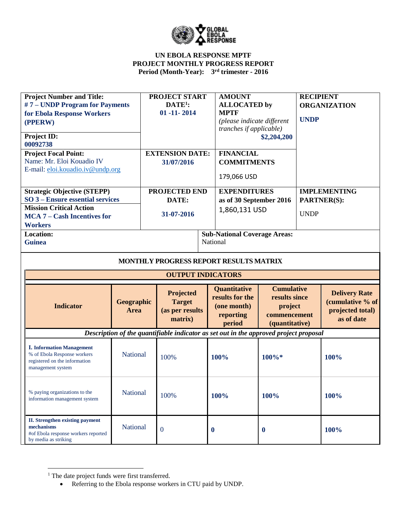

| <b>Project Number and Title:</b><br>#7 - UNDP Program for Payments<br>for Ebola Response Workers<br>(PPERW)<br>Project ID:<br>00092738<br><b>Project Focal Point:</b><br>Name: Mr. Eloi Kouadio IV<br>E-mail: eloi.kouadio.iv@undp.org |                    | <b>PROJECT START</b><br>$DATA:$<br>$01 - 11 - 2014$<br><b>EXTENSION DATE:</b><br>31/07/2016 | <b>AMOUNT</b><br><b>ALLOCATED</b> by<br><b>MPTF</b><br>(please indicate different<br>tranches if applicable)<br><b>FINANCIAL</b><br><b>COMMITMENTS</b><br>179,066 USD | \$2,204,200                                                                     | <b>RECIPIENT</b><br><b>UNDP</b> | <b>ORGANIZATION</b>                                                        |
|----------------------------------------------------------------------------------------------------------------------------------------------------------------------------------------------------------------------------------------|--------------------|---------------------------------------------------------------------------------------------|-----------------------------------------------------------------------------------------------------------------------------------------------------------------------|---------------------------------------------------------------------------------|---------------------------------|----------------------------------------------------------------------------|
| <b>Strategic Objective (STEPP)</b><br>SO 3 – Ensure essential services<br><b>Mission Critical Action</b><br><b>MCA 7 - Cash Incentives for</b><br><b>Workers</b>                                                                       |                    | PROJECTED END<br>DATE:<br>31-07-2016                                                        | <b>EXPENDITURES</b><br>as of 30 September 2016<br>1,860,131 USD                                                                                                       |                                                                                 | <b>UNDP</b>                     | <b>IMPLEMENTING</b><br><b>PARTNER(S):</b>                                  |
| <b>Location:</b><br><b>Guinea</b>                                                                                                                                                                                                      |                    |                                                                                             | <b>Sub-National Coverage Areas:</b><br>National                                                                                                                       |                                                                                 |                                 |                                                                            |
|                                                                                                                                                                                                                                        |                    |                                                                                             | MONTHLY PROGRESS REPORT RESULTS MATRIX                                                                                                                                |                                                                                 |                                 |                                                                            |
|                                                                                                                                                                                                                                        |                    | <b>OUTPUT INDICATORS</b>                                                                    |                                                                                                                                                                       |                                                                                 |                                 |                                                                            |
| <b>Indicator</b>                                                                                                                                                                                                                       | Geographic<br>Area | Projected<br><b>Target</b><br>(as per results<br>matrix)                                    | Quantitative<br>results for the<br>(one month)<br>reporting<br>period                                                                                                 | <b>Cumulative</b><br>results since<br>project<br>commencement<br>(quantitative) |                                 | <b>Delivery Rate</b><br>(cumulative % of<br>projected total)<br>as of date |
|                                                                                                                                                                                                                                        |                    |                                                                                             | Description of the quantifiable indicator as set out in the approved project proposal                                                                                 |                                                                                 |                                 |                                                                            |
| <b>I. Information Management</b><br>% of Ebola Response workers<br>registered on the information<br>management system                                                                                                                  | National           | 100%                                                                                        | 100%                                                                                                                                                                  | $100\%*$                                                                        |                                 | 100%                                                                       |
| % paying organizations to the<br>information management system                                                                                                                                                                         | National           | 100%                                                                                        | 100%                                                                                                                                                                  | 100%                                                                            |                                 | 100%                                                                       |
| <b>II.</b> Strengthen existing payment<br>mechanisms<br>#of Ebola response workers reported<br>by media as striking                                                                                                                    | National           | $\mathbf{0}$                                                                                | $\bf{0}$                                                                                                                                                              | $\bf{0}$                                                                        |                                 | 100%                                                                       |

l

<sup>&</sup>lt;sup>1</sup> The date project funds were first transferred.

<sup>•</sup> Referring to the Ebola response workers in CTU paid by UNDP.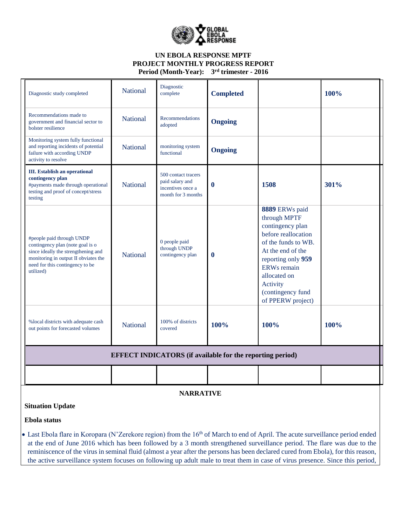

| Diagnostic study completed                                                                                                                                                                   | <b>National</b> | Diagnostic<br>complete                                                            | <b>Completed</b> |                                                                                                                                                                                                                                         | 100% |
|----------------------------------------------------------------------------------------------------------------------------------------------------------------------------------------------|-----------------|-----------------------------------------------------------------------------------|------------------|-----------------------------------------------------------------------------------------------------------------------------------------------------------------------------------------------------------------------------------------|------|
| Recommendations made to<br>government and financial sector to<br>bolster resilience                                                                                                          | <b>National</b> | Recommendations<br>adopted                                                        | <b>Ongoing</b>   |                                                                                                                                                                                                                                         |      |
| Monitoring system fully functional<br>and reporting incidents of potential<br>failure with according UNDP<br>activity to resolve                                                             | <b>National</b> | monitoring system<br>functional                                                   | <b>Ongoing</b>   |                                                                                                                                                                                                                                         |      |
| <b>III.</b> Establish an operational<br>contingency plan<br>#payments made through operational<br>testing and proof of concept/stress<br>testing                                             | <b>National</b> | 500 contact tracers<br>paid salary and<br>incentives once a<br>month for 3 months | $\bf{0}$         | 1508                                                                                                                                                                                                                                    | 301% |
| #people paid through UNDP<br>contingency plan (note goal is o<br>since ideally the strengthening and<br>monitoring in output II obviates the<br>need for this contingency to be<br>utilized) | <b>National</b> | 0 people paid<br>through UNDP<br>contingency plan                                 | $\bf{0}$         | 8889 ERWs paid<br>through MPTF<br>contingency plan<br>before reallocation<br>of the funds to WB.<br>At the end of the<br>reporting only 959<br><b>ERWs</b> remain<br>allocated on<br>Activity<br>(contingency fund<br>of PPERW project) |      |
| %local districts with adequate cash<br>out points for forecasted volumes                                                                                                                     | <b>National</b> | 100% of districts<br>covered                                                      | 100%             | 100%                                                                                                                                                                                                                                    | 100% |
|                                                                                                                                                                                              |                 | <b>EFFECT INDICATORS</b> (if available for the reporting period)                  |                  |                                                                                                                                                                                                                                         |      |
|                                                                                                                                                                                              |                 |                                                                                   |                  |                                                                                                                                                                                                                                         |      |

**NARRATIVE**

# **Situation Update**

**Ebola status**

• Last Ebola flare in Koropara (N'Zerekore region) from the 16<sup>th</sup> of March to end of April. The acute surveillance period ended at the end of June 2016 which has been followed by a 3 month strengthened surveillance period. The flare was due to the reminiscence of the virus in seminal fluid (almost a year after the persons has been declared cured from Ebola), for this reason, the active surveillance system focuses on following up adult male to treat them in case of virus presence. Since this period,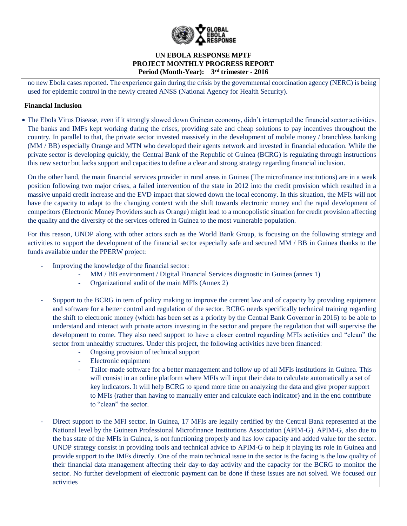

no new Ebola cases reported. The experience gain during the crisis by the governmental coordination agency (NERC) is being used for epidemic control in the newly created ANSS (National Agency for Health Security).

# **Financial Inclusion**

 The Ebola Virus Disease, even if it strongly slowed down Guinean economy, didn't interrupted the financial sector activities. The banks and IMFs kept working during the crises, providing safe and cheap solutions to pay incentives throughout the country. In parallel to that, the private sector invested massively in the development of mobile money / branchless banking (MM / BB) especially Orange and MTN who developed their agents network and invested in financial education. While the private sector is developing quickly, the Central Bank of the Republic of Guinea (BCRG) is regulating through instructions this new sector but lacks support and capacities to define a clear and strong strategy regarding financial inclusion.

On the other hand, the main financial services provider in rural areas in Guinea (The microfinance institutions) are in a weak position following two major crises, a failed intervention of the state in 2012 into the credit provision which resulted in a massive unpaid credit increase and the EVD impact that slowed down the local economy. In this situation, the MFIs will not have the capacity to adapt to the changing context with the shift towards electronic money and the rapid development of competitors (Electronic Money Providers such as Orange) might lead to a monopolistic situation for credit provision affecting the quality and the diversity of the services offered in Guinea to the most vulnerable population.

For this reason, UNDP along with other actors such as the World Bank Group, is focusing on the following strategy and activities to support the development of the financial sector especially safe and secured MM / BB in Guinea thanks to the funds available under the PPERW project:

- Improving the knowledge of the financial sector:
	- MM / BB environment / Digital Financial Services diagnostic in Guinea (annex 1)
	- Organizational audit of the main MFIs (Annex 2)
- Support to the BCRG in tern of policy making to improve the current law and of capacity by providing equipment and software for a better control and regulation of the sector. BCRG needs specifically technical training regarding the shift to electronic money (which has been set as a priority by the Central Bank Governor in 2016) to be able to understand and interact with private actors investing in the sector and prepare the regulation that will supervise the development to come. They also need support to have a closer control regarding MFIs activities and "clean" the sector from unhealthy structures. Under this project, the following activities have been financed:
	- Ongoing provision of technical support
	- Electronic equipment
	- Tailor-made software for a better management and follow up of all MFIs institutions in Guinea. This will consist in an online platform where MFIs will input their data to calculate automatically a set of key indicators. It will help BCRG to spend more time on analyzing the data and give proper support to MFIs (rather than having to manually enter and calculate each indicator) and in the end contribute to "clean" the sector.
- Direct support to the MFI sector. In Guinea, 17 MFIs are legally certified by the Central Bank represented at the National level by the Guinean Professional Microfinance Institutions Association (APIM-G). APIM-G, also due to the bas state of the MFIs in Guinea, is not functioning properly and has low capacity and added value for the sector. UNDP strategy consist in providing tools and technical advice to APIM-G to help it playing its role in Guinea and provide support to the IMFs directly. One of the main technical issue in the sector is the facing is the low quality of their financial data management affecting their day-to-day activity and the capacity for the BCRG to monitor the sector. No further development of electronic payment can be done if these issues are not solved. We focused our activities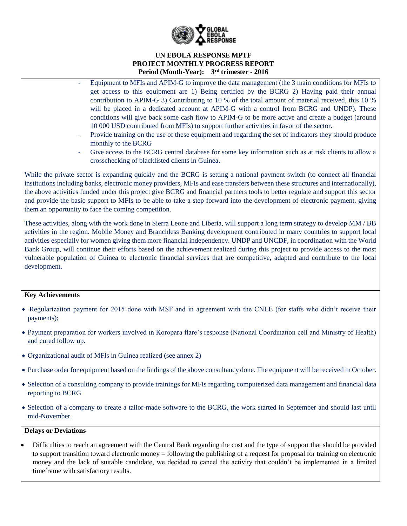

- Equipment to MFIs and APIM-G to improve the data management (the 3 main conditions for MFIs to get access to this equipment are 1) Being certified by the BCRG 2) Having paid their annual contribution to APIM-G 3) Contributing to 10 % of the total amount of material received, this 10 % will be placed in a dedicated account at APIM-G with a control from BCRG and UNDP). These conditions will give back some cash flow to APIM-G to be more active and create a budget (around 10 000 USD contributed from MFIs) to support further activities in favor of the sector.
	- Provide training on the use of these equipment and regarding the set of indicators they should produce monthly to the BCRG
	- Give access to the BCRG central database for some key information such as at risk clients to allow a crosschecking of blacklisted clients in Guinea.

While the private sector is expanding quickly and the BCRG is setting a national payment switch (to connect all financial institutions including banks, electronic money providers, MFIs and ease transfers between these structures and internationally), the above activities funded under this project give BCRG and financial partners tools to better regulate and support this sector and provide the basic support to MFIs to be able to take a step forward into the development of electronic payment, giving them an opportunity to face the coming competition.

These activities, along with the work done in Sierra Leone and Liberia, will support a long term strategy to develop MM / BB activities in the region. Mobile Money and Branchless Banking development contributed in many countries to support local activities especially for women giving them more financial independency. UNDP and UNCDF, in coordination with the World Bank Group, will continue their efforts based on the achievement realized during this project to provide access to the most vulnerable population of Guinea to electronic financial services that are competitive, adapted and contribute to the local development.

#### **Key Achievements**

- Regularization payment for 2015 done with MSF and in agreement with the CNLE (for staffs who didn't receive their payments);
- Payment preparation for workers involved in Koropara flare's response (National Coordination cell and Ministry of Health) and cured follow up.
- Organizational audit of MFIs in Guinea realized (see annex 2)
- Purchase order for equipment based on the findings of the above consultancy done. The equipment will be received in October.
- Selection of a consulting company to provide trainings for MFIs regarding computerized data management and financial data reporting to BCRG
- Selection of a company to create a tailor-made software to the BCRG, the work started in September and should last until mid-November.

#### **Delays or Deviations**

 Difficulties to reach an agreement with the Central Bank regarding the cost and the type of support that should be provided to support transition toward electronic money = following the publishing of a request for proposal for training on electronic money and the lack of suitable candidate, we decided to cancel the activity that couldn't be implemented in a limited timeframe with satisfactory results.